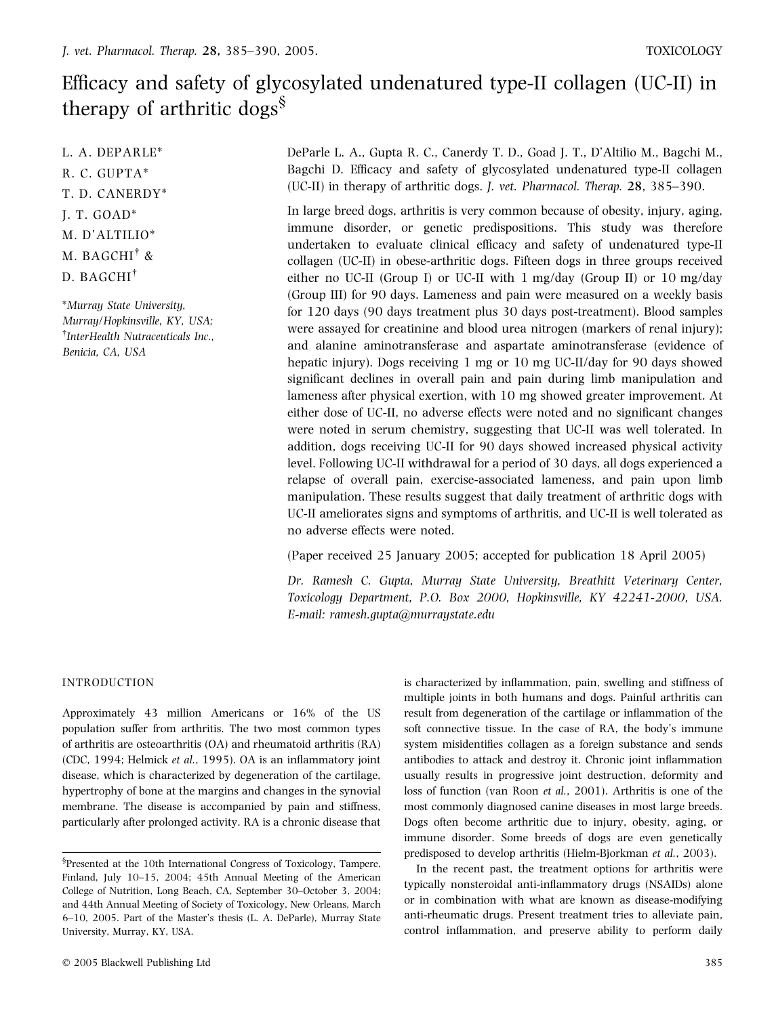# Efficacy and safety of glycosylated undenatured type-II collagen (UC-II) in therapy of arthritic dogs§

L. A. DEPARLE\* R. C. GUPTA\* T. D. CANERDY\* J. T. GOAD\* M. D'ALTILIO\* M. BAGCHI<sup>†</sup> & D. BAGCHI

\*Murray State University, Murray/Hopkinsville, KY, USA; <sup>†</sup>InterHealth Nutraceuticals Inc., Benicia, CA, USA

DeParle L. A., Gupta R. C., Canerdy T. D., Goad J. T., D'Altilio M., Bagchi M., Bagchi D. Efficacy and safety of glycosylated undenatured type-II collagen (UC-II) in therapy of arthritic dogs. J. vet. Pharmacol. Therap. 28, 385–390.

In large breed dogs, arthritis is very common because of obesity, injury, aging, immune disorder, or genetic predispositions. This study was therefore undertaken to evaluate clinical efficacy and safety of undenatured type-II collagen (UC-II) in obese-arthritic dogs. Fifteen dogs in three groups received either no UC-II (Group I) or UC-II with 1 mg/day (Group II) or 10 mg/day (Group III) for 90 days. Lameness and pain were measured on a weekly basis for 120 days (90 days treatment plus 30 days post-treatment). Blood samples were assayed for creatinine and blood urea nitrogen (markers of renal injury); and alanine aminotransferase and aspartate aminotransferase (evidence of hepatic injury). Dogs receiving 1 mg or 10 mg UC-II/day for 90 days showed significant declines in overall pain and pain during limb manipulation and lameness after physical exertion, with 10 mg showed greater improvement. At either dose of UC-II, no adverse effects were noted and no significant changes were noted in serum chemistry, suggesting that UC-II was well tolerated. In addition, dogs receiving UC-II for 90 days showed increased physical activity level. Following UC-II withdrawal for a period of 30 days, all dogs experienced a relapse of overall pain, exercise-associated lameness, and pain upon limb manipulation. These results suggest that daily treatment of arthritic dogs with UC-II ameliorates signs and symptoms of arthritis, and UC-II is well tolerated as no adverse effects were noted.

(Paper received 25 January 2005; accepted for publication 18 April 2005)

Dr. Ramesh C. Gupta, Murray State University, Breathitt Veterinary Center, Toxicology Department, P.O. Box 2000, Hopkinsville, KY 42241-2000, USA. E-mail: ramesh.gupta@murraystate.edu

# **INTRODUCTION**

Approximately 43 million Americans or 16% of the US population suffer from arthritis. The two most common types of arthritis are osteoarthritis (OA) and rheumatoid arthritis (RA) (CDC, 1994; Helmick et al., 1995). OA is an inflammatory joint disease, which is characterized by degeneration of the cartilage, hypertrophy of bone at the margins and changes in the synovial membrane. The disease is accompanied by pain and stiffness, particularly after prolonged activity. RA is a chronic disease that is characterized by inflammation, pain, swelling and stiffness of multiple joints in both humans and dogs. Painful arthritis can result from degeneration of the cartilage or inflammation of the soft connective tissue. In the case of RA, the body's immune system misidentifies collagen as a foreign substance and sends antibodies to attack and destroy it. Chronic joint inflammation usually results in progressive joint destruction, deformity and loss of function (van Roon et al., 2001). Arthritis is one of the most commonly diagnosed canine diseases in most large breeds. Dogs often become arthritic due to injury, obesity, aging, or immune disorder. Some breeds of dogs are even genetically predisposed to develop arthritis (Hielm-Bjorkman et al., 2003).

In the recent past, the treatment options for arthritis were typically nonsteroidal anti-inflammatory drugs (NSAIDs) alone or in combination with what are known as disease-modifying anti-rheumatic drugs. Present treatment tries to alleviate pain, control inflammation, and preserve ability to perform daily

<sup>§</sup> Presented at the 10th International Congress of Toxicology, Tampere, Finland, July 10–15, 2004; 45th Annual Meeting of the American College of Nutrition, Long Beach, CA, September 30–October 3, 2004; and 44th Annual Meeting of Society of Toxicology, New Orleans, March 6–10, 2005. Part of the Master's thesis (L. A. DeParle), Murray State University, Murray, KY, USA.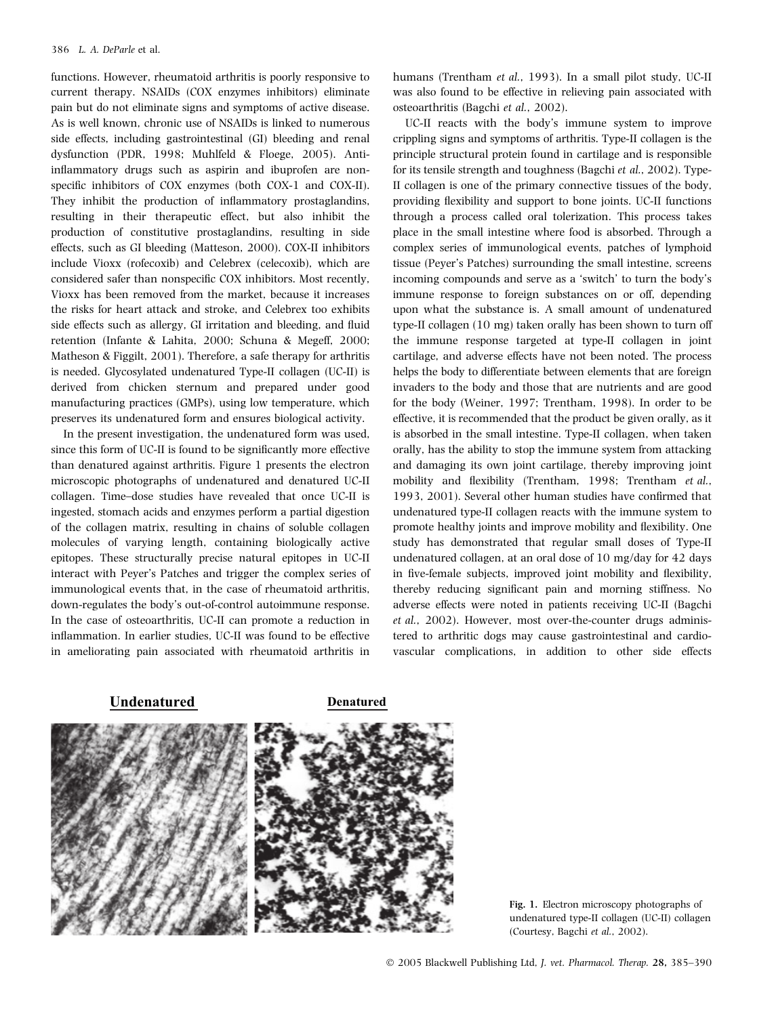functions. However, rheumatoid arthritis is poorly responsive to current therapy. NSAIDs (COX enzymes inhibitors) eliminate pain but do not eliminate signs and symptoms of active disease. As is well known, chronic use of NSAIDs is linked to numerous side effects, including gastrointestinal (GI) bleeding and renal dysfunction (PDR, 1998; Muhlfeld & Floege, 2005). Antiinflammatory drugs such as aspirin and ibuprofen are nonspecific inhibitors of COX enzymes (both COX-1 and COX-II). They inhibit the production of inflammatory prostaglandins, resulting in their therapeutic effect, but also inhibit the production of constitutive prostaglandins, resulting in side effects, such as GI bleeding (Matteson, 2000). COX-II inhibitors include Vioxx (rofecoxib) and Celebrex (celecoxib), which are considered safer than nonspecific COX inhibitors. Most recently, Vioxx has been removed from the market, because it increases the risks for heart attack and stroke, and Celebrex too exhibits side effects such as allergy, GI irritation and bleeding, and fluid retention (Infante & Lahita, 2000; Schuna & Megeff, 2000; Matheson & Figgilt, 2001). Therefore, a safe therapy for arthritis is needed. Glycosylated undenatured Type-II collagen (UC-II) is derived from chicken sternum and prepared under good manufacturing practices (GMPs), using low temperature, which preserves its undenatured form and ensures biological activity.

In the present investigation, the undenatured form was used, since this form of UC-II is found to be significantly more effective than denatured against arthritis. Figure 1 presents the electron microscopic photographs of undenatured and denatured UC-II collagen. Time–dose studies have revealed that once UC-II is ingested, stomach acids and enzymes perform a partial digestion of the collagen matrix, resulting in chains of soluble collagen molecules of varying length, containing biologically active epitopes. These structurally precise natural epitopes in UC-II interact with Peyer's Patches and trigger the complex series of immunological events that, in the case of rheumatoid arthritis, down-regulates the body's out-of-control autoimmune response. In the case of osteoarthritis, UC-II can promote a reduction in inflammation. In earlier studies, UC-II was found to be effective in ameliorating pain associated with rheumatoid arthritis in

humans (Trentham et al., 1993). In a small pilot study, UC-II was also found to be effective in relieving pain associated with osteoarthritis (Bagchi et al., 2002).

UC-II reacts with the body's immune system to improve crippling signs and symptoms of arthritis. Type-II collagen is the principle structural protein found in cartilage and is responsible for its tensile strength and toughness (Bagchi et al., 2002). Type-II collagen is one of the primary connective tissues of the body, providing flexibility and support to bone joints. UC-II functions through a process called oral tolerization. This process takes place in the small intestine where food is absorbed. Through a complex series of immunological events, patches of lymphoid tissue (Peyer's Patches) surrounding the small intestine, screens incoming compounds and serve as a 'switch' to turn the body's immune response to foreign substances on or off, depending upon what the substance is. A small amount of undenatured type-II collagen (10 mg) taken orally has been shown to turn off the immune response targeted at type-II collagen in joint cartilage, and adverse effects have not been noted. The process helps the body to differentiate between elements that are foreign invaders to the body and those that are nutrients and are good for the body (Weiner, 1997; Trentham, 1998). In order to be effective, it is recommended that the product be given orally, as it is absorbed in the small intestine. Type-II collagen, when taken orally, has the ability to stop the immune system from attacking and damaging its own joint cartilage, thereby improving joint mobility and flexibility (Trentham, 1998; Trentham et al., 1993, 2001). Several other human studies have confirmed that undenatured type-II collagen reacts with the immune system to promote healthy joints and improve mobility and flexibility. One study has demonstrated that regular small doses of Type-II undenatured collagen, at an oral dose of 10 mg/day for 42 days in five-female subjects, improved joint mobility and flexibility, thereby reducing significant pain and morning stiffness. No adverse effects were noted in patients receiving UC-II (Bagchi et al., 2002). However, most over-the-counter drugs administered to arthritic dogs may cause gastrointestinal and cardiovascular complications, in addition to other side effects

# **Undenatured Denatured**



Fig. 1. Electron microscopy photographs of undenatured type-II collagen (UC-II) collagen (Courtesy, Bagchi et al., 2002).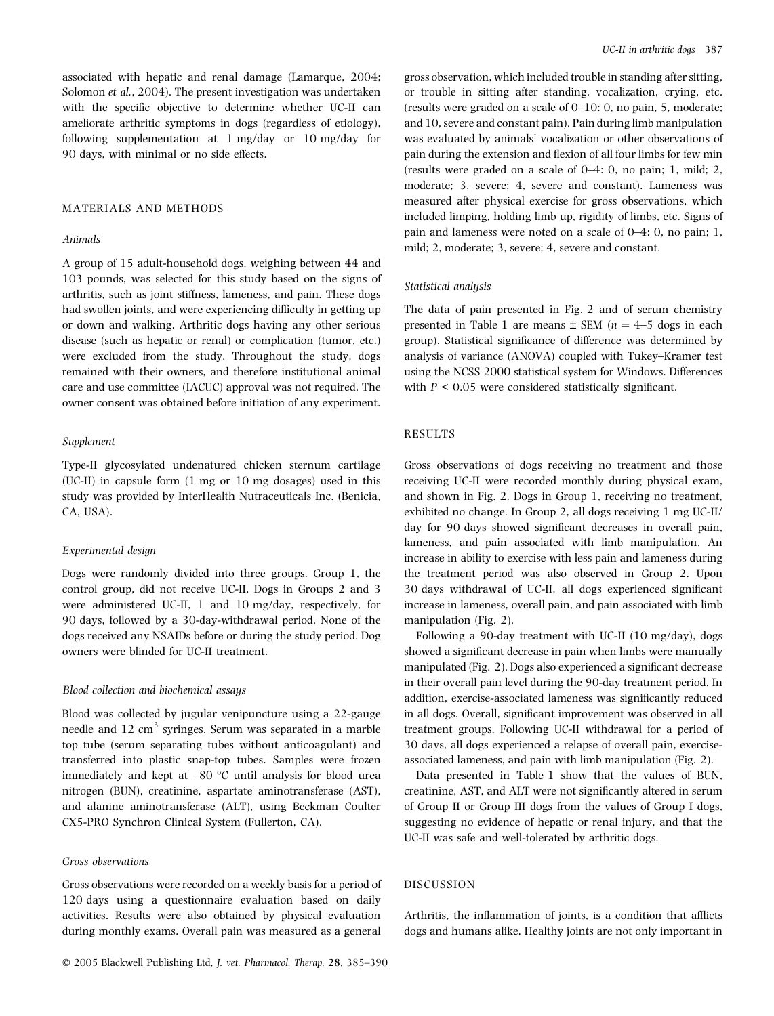associated with hepatic and renal damage (Lamarque, 2004; Solomon et al., 2004). The present investigation was undertaken with the specific objective to determine whether UC-II can ameliorate arthritic symptoms in dogs (regardless of etiology), following supplementation at 1 mg/day or 10 mg/day for 90 days, with minimal or no side effects.

# MATERIALS AND METHODS

#### Animals

A group of 15 adult-household dogs, weighing between 44 and 103 pounds, was selected for this study based on the signs of arthritis, such as joint stiffness, lameness, and pain. These dogs had swollen joints, and were experiencing difficulty in getting up or down and walking. Arthritic dogs having any other serious disease (such as hepatic or renal) or complication (tumor, etc.) were excluded from the study. Throughout the study, dogs remained with their owners, and therefore institutional animal care and use committee (IACUC) approval was not required. The owner consent was obtained before initiation of any experiment.

#### Supplement

Type-II glycosylated undenatured chicken sternum cartilage (UC-II) in capsule form (1 mg or 10 mg dosages) used in this study was provided by InterHealth Nutraceuticals Inc. (Benicia, CA, USA).

#### Experimental design

Dogs were randomly divided into three groups. Group 1, the control group, did not receive UC-II. Dogs in Groups 2 and 3 were administered UC-II, 1 and 10 mg/day, respectively, for 90 days, followed by a 30-day-withdrawal period. None of the dogs received any NSAIDs before or during the study period. Dog owners were blinded for UC-II treatment.

#### Blood collection and biochemical assays

Blood was collected by jugular venipuncture using a 22-gauge needle and 12 cm<sup>3</sup> syringes. Serum was separated in a marble top tube (serum separating tubes without anticoagulant) and transferred into plastic snap-top tubes. Samples were frozen immediately and kept at  $-80$  °C until analysis for blood urea nitrogen (BUN), creatinine, aspartate aminotransferase (AST), and alanine aminotransferase (ALT), using Beckman Coulter CX5-PRO Synchron Clinical System (Fullerton, CA).

## Gross observations

Gross observations were recorded on a weekly basis for a period of 120 days using a questionnaire evaluation based on daily activities. Results were also obtained by physical evaluation during monthly exams. Overall pain was measured as a general

gross observation, which included trouble in standing after sitting, or trouble in sitting after standing, vocalization, crying, etc. (results were graded on a scale of 0–10: 0, no pain, 5, moderate; and 10, severe and constant pain). Pain during limb manipulation was evaluated by animals' vocalization or other observations of pain during the extension and flexion of all four limbs for few min (results were graded on a scale of 0–4: 0, no pain; 1, mild; 2, moderate; 3, severe; 4, severe and constant). Lameness was measured after physical exercise for gross observations, which included limping, holding limb up, rigidity of limbs, etc. Signs of pain and lameness were noted on a scale of 0–4: 0, no pain; 1, mild; 2, moderate; 3, severe; 4, severe and constant.

#### Statistical analysis

The data of pain presented in Fig. 2 and of serum chemistry presented in Table 1 are means  $\pm$  SEM ( $n = 4$ –5 dogs in each group). Statistical significance of difference was determined by analysis of variance (ANOVA) coupled with Tukey–Kramer test using the NCSS 2000 statistical system for Windows. Differences with  $P < 0.05$  were considered statistically significant.

## RESULTS

Gross observations of dogs receiving no treatment and those receiving UC-II were recorded monthly during physical exam, and shown in Fig. 2. Dogs in Group 1, receiving no treatment, exhibited no change. In Group 2, all dogs receiving 1 mg UC-II/ day for 90 days showed significant decreases in overall pain, lameness, and pain associated with limb manipulation. An increase in ability to exercise with less pain and lameness during the treatment period was also observed in Group 2. Upon 30 days withdrawal of UC-II, all dogs experienced significant increase in lameness, overall pain, and pain associated with limb manipulation (Fig. 2).

Following a 90-day treatment with UC-II (10 mg/day), dogs showed a significant decrease in pain when limbs were manually manipulated (Fig. 2). Dogs also experienced a significant decrease in their overall pain level during the 90-day treatment period. In addition, exercise-associated lameness was significantly reduced in all dogs. Overall, significant improvement was observed in all treatment groups. Following UC-II withdrawal for a period of 30 days, all dogs experienced a relapse of overall pain, exerciseassociated lameness, and pain with limb manipulation (Fig. 2).

Data presented in Table 1 show that the values of BUN, creatinine, AST, and ALT were not significantly altered in serum of Group II or Group III dogs from the values of Group I dogs, suggesting no evidence of hepatic or renal injury, and that the UC-II was safe and well-tolerated by arthritic dogs.

### DISCUSSION

Arthritis, the inflammation of joints, is a condition that afflicts dogs and humans alike. Healthy joints are not only important in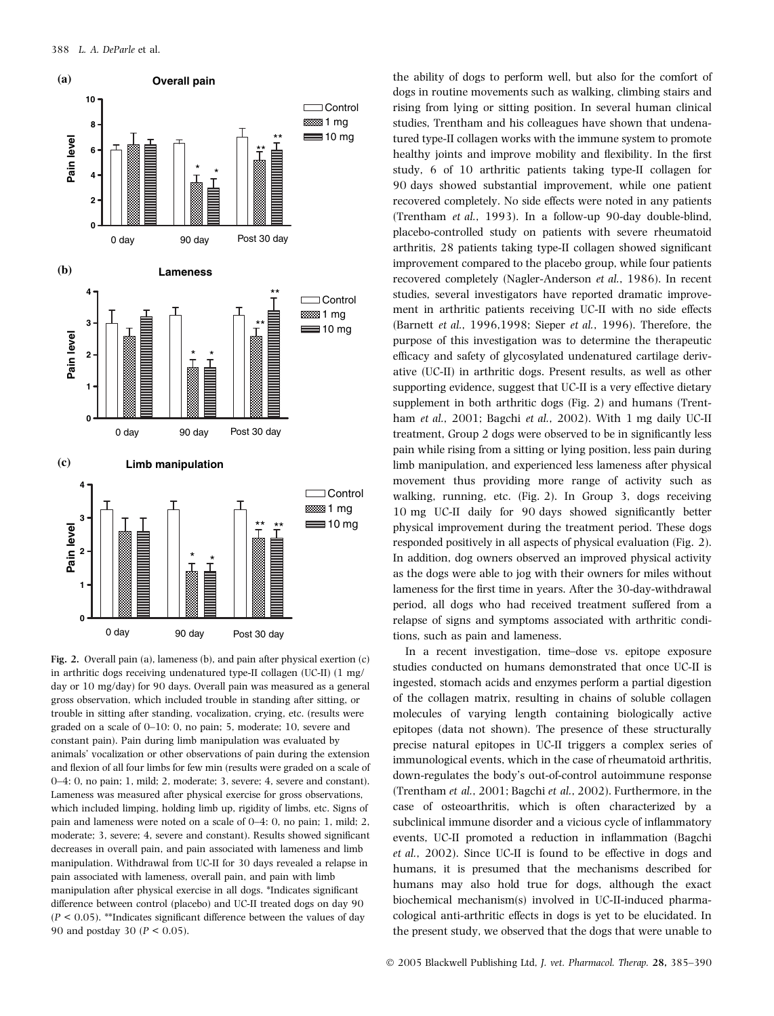

Fig. 2. Overall pain (a), lameness (b), and pain after physical exertion (c) in arthritic dogs receiving undenatured type-II collagen (UC-II) (1 mg/ day or 10 mg/day) for 90 days. Overall pain was measured as a general gross observation, which included trouble in standing after sitting, or trouble in sitting after standing, vocalization, crying, etc. (results were graded on a scale of 0–10: 0, no pain; 5, moderate; 10, severe and constant pain). Pain during limb manipulation was evaluated by animals' vocalization or other observations of pain during the extension and flexion of all four limbs for few min (results were graded on a scale of 0–4: 0, no pain; 1, mild; 2, moderate; 3, severe; 4, severe and constant). Lameness was measured after physical exercise for gross observations, which included limping, holding limb up, rigidity of limbs, etc. Signs of pain and lameness were noted on a scale of 0–4: 0, no pain; 1, mild; 2, moderate; 3, severe; 4, severe and constant). Results showed significant decreases in overall pain, and pain associated with lameness and limb manipulation. Withdrawal from UC-II for 30 days revealed a relapse in pain associated with lameness, overall pain, and pain with limb manipulation after physical exercise in all dogs. \*Indicates significant difference between control (placebo) and UC-II treated dogs on day 90  $(P < 0.05)$ . \*\*Indicates significant difference between the values of day 90 and postday 30 ( $P < 0.05$ ).

the ability of dogs to perform well, but also for the comfort of dogs in routine movements such as walking, climbing stairs and rising from lying or sitting position. In several human clinical studies, Trentham and his colleagues have shown that undenatured type-II collagen works with the immune system to promote healthy joints and improve mobility and flexibility. In the first study, 6 of 10 arthritic patients taking type-II collagen for 90 days showed substantial improvement, while one patient recovered completely. No side effects were noted in any patients (Trentham et al., 1993). In a follow-up 90-day double-blind, placebo-controlled study on patients with severe rheumatoid arthritis, 28 patients taking type-II collagen showed significant improvement compared to the placebo group, while four patients recovered completely (Nagler-Anderson et al., 1986). In recent studies, several investigators have reported dramatic improvement in arthritic patients receiving UC-II with no side effects (Barnett et al., 1996,1998; Sieper et al., 1996). Therefore, the purpose of this investigation was to determine the therapeutic efficacy and safety of glycosylated undenatured cartilage derivative (UC-II) in arthritic dogs. Present results, as well as other supporting evidence, suggest that UC-II is a very effective dietary supplement in both arthritic dogs (Fig. 2) and humans (Trentham et al., 2001; Bagchi et al., 2002). With 1 mg daily UC-II treatment, Group 2 dogs were observed to be in significantly less pain while rising from a sitting or lying position, less pain during limb manipulation, and experienced less lameness after physical movement thus providing more range of activity such as walking, running, etc. (Fig. 2). In Group 3, dogs receiving 10 mg UC-II daily for 90 days showed significantly better physical improvement during the treatment period. These dogs responded positively in all aspects of physical evaluation (Fig. 2). In addition, dog owners observed an improved physical activity as the dogs were able to jog with their owners for miles without lameness for the first time in years. After the 30-day-withdrawal period, all dogs who had received treatment suffered from a relapse of signs and symptoms associated with arthritic conditions, such as pain and lameness.

In a recent investigation, time–dose vs. epitope exposure studies conducted on humans demonstrated that once UC-II is ingested, stomach acids and enzymes perform a partial digestion of the collagen matrix, resulting in chains of soluble collagen molecules of varying length containing biologically active epitopes (data not shown). The presence of these structurally precise natural epitopes in UC-II triggers a complex series of immunological events, which in the case of rheumatoid arthritis, down-regulates the body's out-of-control autoimmune response (Trentham et al., 2001; Bagchi et al., 2002). Furthermore, in the case of osteoarthritis, which is often characterized by a subclinical immune disorder and a vicious cycle of inflammatory events, UC-II promoted a reduction in inflammation (Bagchi et al., 2002). Since UC-II is found to be effective in dogs and humans, it is presumed that the mechanisms described for humans may also hold true for dogs, although the exact biochemical mechanism(s) involved in UC-II-induced pharmacological anti-arthritic effects in dogs is yet to be elucidated. In the present study, we observed that the dogs that were unable to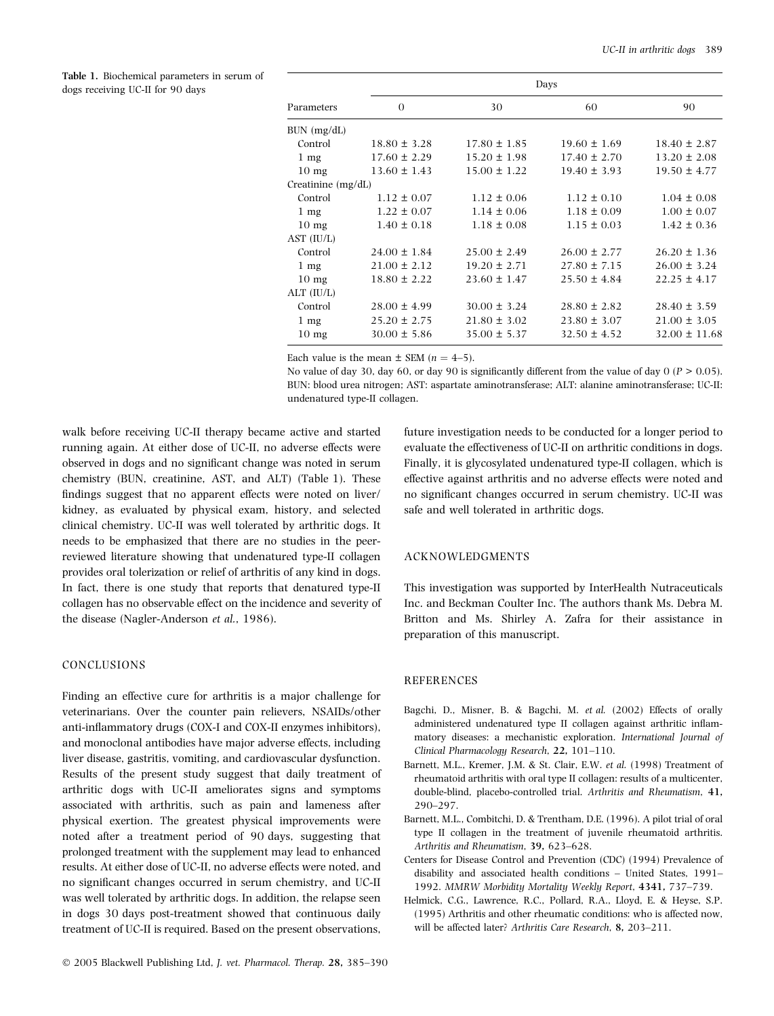Table 1. Biochemical parameters in serum of dogs receiving UC-II for 90 days

| Parameters           | Days             |                  |                  |                   |
|----------------------|------------------|------------------|------------------|-------------------|
|                      | $\Omega$         | 30               | 60               | 90                |
| BUN (mg/dL)          |                  |                  |                  |                   |
| Control              | $18.80 \pm 3.28$ | $17.80 \pm 1.85$ | $19.60 \pm 1.69$ | $18.40 \pm 2.87$  |
| $1 \text{ mg}$       | $17.60 \pm 2.29$ | $15.20 \pm 1.98$ | $17.40 \pm 2.70$ | $13.20 \pm 2.08$  |
| $10 \text{ mg}$      | $13.60 \pm 1.43$ | $15.00 \pm 1.22$ | $19.40 \pm 3.93$ | $19.50 \pm 4.77$  |
| Creatinine $(mg/dL)$ |                  |                  |                  |                   |
| Control              | $1.12 \pm 0.07$  | $1.12 \pm 0.06$  | $1.12 \pm 0.10$  | $1.04 \pm 0.08$   |
| $1 \text{ mg}$       | $1.22 \pm 0.07$  | $1.14 \pm 0.06$  | $1.18 \pm 0.09$  | $1.00 \pm 0.07$   |
| $10 \text{ mg}$      | $1.40 \pm 0.18$  | $1.18 \pm 0.08$  | $1.15 \pm 0.03$  | $1.42 \pm 0.36$   |
| AST (IU/L)           |                  |                  |                  |                   |
| Control              | $24.00 \pm 1.84$ | $25.00 \pm 2.49$ | $26.00 \pm 2.77$ | $26.20 \pm 1.36$  |
| $1 \text{ mg}$       | $21.00 \pm 2.12$ | $19.20 \pm 2.71$ | $27.80 \pm 7.15$ | $26.00 \pm 3.24$  |
| $10 \text{ mg}$      | $18.80 \pm 2.22$ | $23.60 \pm 1.47$ | $25.50 \pm 4.84$ | $22.25 \pm 4.17$  |
| $ALT$ (IU/L)         |                  |                  |                  |                   |
| Control              | $28.00 \pm 4.99$ | $30.00 \pm 3.24$ | $28.80 \pm 2.82$ | $28.40 \pm 3.59$  |
| $1 \text{ mg}$       | $25.20 \pm 2.75$ | $21.80 \pm 3.02$ | $23.80 \pm 3.07$ | $21.00 \pm 3.05$  |
| $10 \text{ mg}$      | $30.00 \pm 5.86$ | $35.00 \pm 5.37$ | $32.50 \pm 4.52$ | $32.00 \pm 11.68$ |

Each value is the mean  $\pm$  SEM ( $n = 4-5$ ).

No value of day 30, day 60, or day 90 is significantly different from the value of day  $0 (P > 0.05)$ . BUN: blood urea nitrogen; AST: aspartate aminotransferase; ALT: alanine aminotransferase; UC-II: undenatured type-II collagen.

walk before receiving UC-II therapy became active and started running again. At either dose of UC-II, no adverse effects were observed in dogs and no significant change was noted in serum chemistry (BUN, creatinine, AST, and ALT) (Table 1). These findings suggest that no apparent effects were noted on liver/ kidney, as evaluated by physical exam, history, and selected clinical chemistry. UC-II was well tolerated by arthritic dogs. It needs to be emphasized that there are no studies in the peerreviewed literature showing that undenatured type-II collagen provides oral tolerization or relief of arthritis of any kind in dogs. In fact, there is one study that reports that denatured type-II collagen has no observable effect on the incidence and severity of the disease (Nagler-Anderson et al., 1986).

# CONCLUSIONS

Finding an effective cure for arthritis is a major challenge for veterinarians. Over the counter pain relievers, NSAIDs/other anti-inflammatory drugs (COX-I and COX-II enzymes inhibitors), and monoclonal antibodies have major adverse effects, including liver disease, gastritis, vomiting, and cardiovascular dysfunction. Results of the present study suggest that daily treatment of arthritic dogs with UC-II ameliorates signs and symptoms associated with arthritis, such as pain and lameness after physical exertion. The greatest physical improvements were noted after a treatment period of 90 days, suggesting that prolonged treatment with the supplement may lead to enhanced results. At either dose of UC-II, no adverse effects were noted, and no significant changes occurred in serum chemistry, and UC-II was well tolerated by arthritic dogs. In addition, the relapse seen in dogs 30 days post-treatment showed that continuous daily treatment of UC-II is required. Based on the present observations,

future investigation needs to be conducted for a longer period to evaluate the effectiveness of UC-II on arthritic conditions in dogs. Finally, it is glycosylated undenatured type-II collagen, which is effective against arthritis and no adverse effects were noted and no significant changes occurred in serum chemistry. UC-II was safe and well tolerated in arthritic dogs.

# ACKNOWLEDGMENTS

This investigation was supported by InterHealth Nutraceuticals Inc. and Beckman Coulter Inc. The authors thank Ms. Debra M. Britton and Ms. Shirley A. Zafra for their assistance in preparation of this manuscript.

# **REFERENCES**

- Bagchi, D., Misner, B. & Bagchi, M. et al. (2002) Effects of orally administered undenatured type II collagen against arthritic inflammatory diseases: a mechanistic exploration. International Journal of Clinical Pharmacology Research, 22, 101–110.
- Barnett, M.L., Kremer, J.M. & St. Clair, E.W. et al. (1998) Treatment of rheumatoid arthritis with oral type II collagen: results of a multicenter, double-blind, placebo-controlled trial. Arthritis and Rheumatism, 41, 290–297.
- Barnett, M.L., Combitchi, D. & Trentham, D.E. (1996). A pilot trial of oral type II collagen in the treatment of juvenile rheumatoid arthritis. Arthritis and Rheumatism, 39, 623–628.
- Centers for Disease Control and Prevention (CDC) (1994) Prevalence of disability and associated health conditions – United States, 1991– 1992. MMRW Morbidity Mortality Weekly Report, 4341, 737–739.
- Helmick, C.G., Lawrence, R.C., Pollard, R.A., Lloyd, E. & Heyse, S.P. (1995) Arthritis and other rheumatic conditions: who is affected now, will be affected later? Arthritis Care Research, 8, 203–211.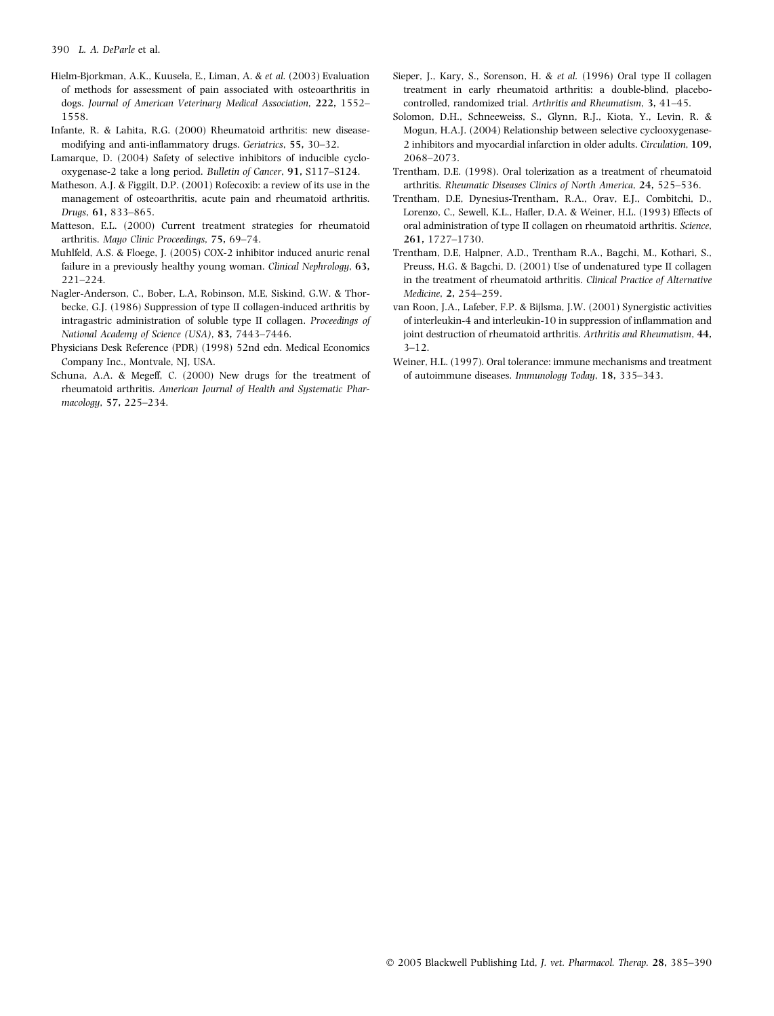- Hielm-Bjorkman, A.K., Kuusela, E., Liman, A. & et al. (2003) Evaluation of methods for assessment of pain associated with osteoarthritis in dogs. Journal of American Veterinary Medical Association, 222, 1552– 1558.
- Infante, R. & Lahita, R.G. (2000) Rheumatoid arthritis: new diseasemodifying and anti-inflammatory drugs. Geriatrics, 55, 30–32.
- Lamarque, D. (2004) Safety of selective inhibitors of inducible cyclooxygenase-2 take a long period. Bulletin of Cancer, 91, S117–S124.
- Matheson, A.J. & Figgilt, D.P. (2001) Rofecoxib: a review of its use in the management of osteoarthritis, acute pain and rheumatoid arthritis. Drugs, 61, 833–865.
- Matteson, E.L. (2000) Current treatment strategies for rheumatoid arthritis. Mayo Clinic Proceedings, 75, 69–74.
- Muhlfeld, A.S. & Floege, J. (2005) COX-2 inhibitor induced anuric renal failure in a previously healthy young woman. Clinical Nephrology, 63, 221–224.
- Nagler-Anderson, C., Bober, L.A, Robinson, M.E, Siskind, G.W. & Thorbecke, G.J. (1986) Suppression of type II collagen-induced arthritis by intragastric administration of soluble type II collagen. Proceedings of National Academy of Science (USA), 83, 7443–7446.
- Physicians Desk Reference (PDR) (1998) 52nd edn. Medical Economics Company Inc., Montvale, NJ, USA.
- Schuna, A.A. & Megeff, C. (2000) New drugs for the treatment of rheumatoid arthritis. American Journal of Health and Systematic Pharmacology, 57, 225–234.
- Sieper, J., Kary, S., Sorenson, H. & et al. (1996) Oral type II collagen treatment in early rheumatoid arthritis: a double-blind, placebocontrolled, randomized trial. Arthritis and Rheumatism, 3, 41–45.
- Solomon, D.H., Schneeweiss, S., Glynn, R.J., Kiota, Y., Levin, R. & Mogun, H.A.J. (2004) Relationship between selective cyclooxygenase-2 inhibitors and myocardial infarction in older adults. Circulation, 109, 2068–2073.
- Trentham, D.E. (1998). Oral tolerization as a treatment of rheumatoid arthritis. Rheumatic Diseases Clinics of North America, 24, 525–536.
- Trentham, D.E, Dynesius-Trentham, R.A., Orav, E.J., Combitchi, D., Lorenzo, C., Sewell, K.L., Hafler, D.A. & Weiner, H.L. (1993) Effects of oral administration of type II collagen on rheumatoid arthritis. Science, 261, 1727–1730.
- Trentham, D.E, Halpner, A.D., Trentham R.A., Bagchi, M., Kothari, S., Preuss, H.G. & Bagchi, D. (2001) Use of undenatured type II collagen in the treatment of rheumatoid arthritis. Clinical Practice of Alternative Medicine, 2, 254–259.
- van Roon, J.A., Lafeber, F.P. & Bijlsma, J.W. (2001) Synergistic activities of interleukin-4 and interleukin-10 in suppression of inflammation and joint destruction of rheumatoid arthritis. Arthritis and Rheumatism, 44, 3–12.
- Weiner, H.L. (1997). Oral tolerance: immune mechanisms and treatment of autoimmune diseases. Immunology Today, 18, 335–343.